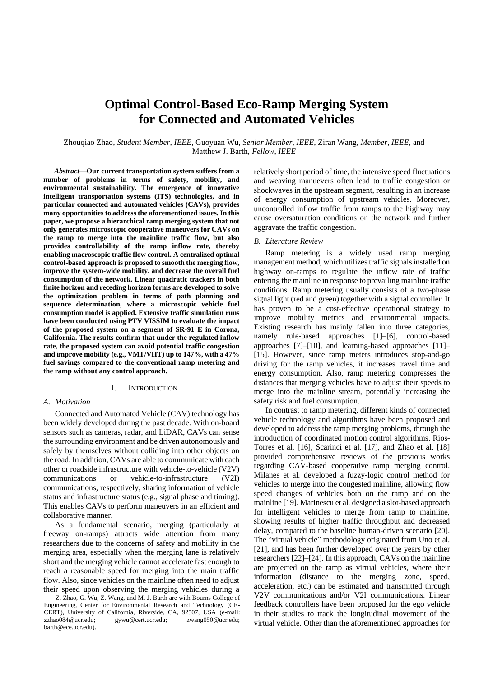# **Optimal Control-Based Eco-Ramp Merging System for Connected and Automated Vehicles**

Zhouqiao Zhao, *Student Member*, *IEEE*, Guoyuan Wu, *Senior Member*, *IEEE*, Ziran Wang, *Member*, *IEEE*, and Matthew J. Barth, *Fellow*, *IEEE*

*Abstract***—Our current transportation system suffers from a number of problems in terms of safety, mobility, and environmental sustainability. The emergence of innovative intelligent transportation systems (ITS) technologies, and in particular connected and automated vehicles (CAVs), provides many opportunities to address the aforementioned issues. In this paper, we propose a hierarchical ramp merging system that not only generates microscopic cooperative maneuvers for CAVs on the ramp to merge into the mainline traffic flow, but also provides controllability of the ramp inflow rate, thereby enabling macroscopic traffic flow control. A centralized optimal control-based approach is proposed to smooth the merging flow, improve the system-wide mobility, and decrease the overall fuel consumption of the network. Linear quadratic trackers in both finite horizon and receding horizon forms are developed to solve the optimization problem in terms of path planning and sequence determination, where a microscopic vehicle fuel consumption model is applied. Extensive traffic simulation runs have been conducted using PTV VISSIM to evaluate the impact of the proposed system on a segment of SR-91 E in Corona, California. The results confirm that under the regulated inflow rate, the proposed system can avoid potential traffic congestion and improve mobility (e.g., VMT/VHT) up to 147%, with a 47% fuel savings compared to the conventional ramp metering and the ramp without any control approach.**

#### I. INTRODUCTION

## *A. Motivation*

Connected and Automated Vehicle (CAV) technology has been widely developed during the past decade. With on-board sensors such as cameras, radar, and LiDAR, CAVs can sense the surrounding environment and be driven autonomously and safely by themselves without colliding into other objects on the road. In addition, CAVs are able to communicate with each other or roadside infrastructure with vehicle-to-vehicle (V2V) communications or vehicle-to-infrastructure (V2I) communications, respectively, sharing information of vehicle status and infrastructure status (e.g., signal phase and timing). This enables CAVs to perform maneuvers in an efficient and collaborative manner.

As a fundamental scenario, merging (particularly at freeway on-ramps) attracts wide attention from many researchers due to the concerns of safety and mobility in the merging area, especially when the merging lane is relatively short and the merging vehicle cannot accelerate fast enough to reach a reasonable speed for merging into the main traffic flow. Also, since vehicles on the mainline often need to adjust their speed upon observing the merging vehicles during a

Z. Zhao, G. Wu, Z. Wang, and M. J. Barth are with Bourns College of Engineering, Center for Environmental Research and Technology (CE-CERT), University of California, Riverside, CA, 92507, USA (e-mail: zzhao084@ucr.edu; gywu@cert.ucr.edu; zwang050@ucr.edu; barth@ece.ucr.edu).

relatively short period of time, the intensive speed fluctuations and weaving manuevers often lead to traffic congestion or shockwaves in the upstream segment, resulting in an increase of energy consumption of upstream vehicles. Moreover, uncontrolled inflow traffic from ramps to the highway may cause oversaturation conditions on the network and further aggravate the traffic congestion.

#### *B. Literature Review*

Ramp metering is a widely used ramp merging management method, which utilizes traffic signals installed on highway on-ramps to regulate the inflow rate of traffic entering the mainline in response to prevailing mainline traffic conditions. Ramp metering usually consists of a two-phase signal light (red and green) together with a signal controller. It has proven to be a cost-effective operational strategy to improve mobility metrics and environmental impacts. Existing research has mainly fallen into three categories, namely rule-based approaches [1]–[6], control-based approaches [7]–[10], and learning-based approaches [11]– [15]. However, since ramp meters introduces stop-and-go driving for the ramp vehicles, it increases travel time and energy consumption. Also, ramp metering compresses the distances that merging vehicles have to adjust their speeds to merge into the mainline stream, potentially increasing the safety risk and fuel consumption.

In contrast to ramp metering, different kinds of connected vehicle technology and algorithms have been proposed and developed to address the ramp merging problems, through the introduction of coordinated motion control algorithms. Rios-Torres et al. [16], Scarinci et al. [17], and Zhao et al. [18] provided comprehensive reviews of the previous works regarding CAV-based cooperative ramp merging control. Milanes et al*.* developed a fuzzy-logic control method for vehicles to merge into the congested mainline, allowing flow speed changes of vehicles both on the ramp and on the mainline [19]. Marinescu et al*.* designed a slot-based approach for intelligent vehicles to merge from ramp to mainline, showing results of higher traffic throughput and decreased delay, compared to the baseline human-driven scenario [20]. The "virtual vehicle" methodology originated from Uno et al. [21], and has been further developed over the years by other researchers [22]–[24]. In this approach, CAVs on the mainline are projected on the ramp as virtual vehicles, where their information (distance to the merging zone, speed, acceleration, etc.) can be estimated and transmitted through V2V communications and/or V2I communications. Linear feedback controllers have been proposed for the ego vehicle in their studies to track the longitudinal movement of the virtual vehicle. Other than the aforementioned approaches for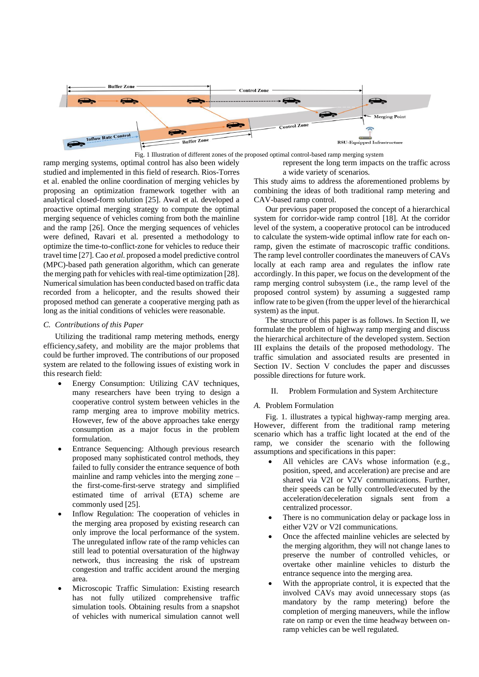



ramp merging systems, optimal control has also been widely studied and implemented in this field of research. Rios-Torres et al. enabled the online coordination of merging vehicles by proposing an optimization framework together with an analytical closed-form solution [25]. Awal et al*.* developed a proactive optimal merging strategy to compute the optimal merging sequence of vehicles coming from both the mainline and the ramp [26]. Once the merging sequences of vehicles were defined, Ravari et al*.* presented a methodology to optimize the time-to-conflict-zone for vehicles to reduce their travel time [27]. Cao *et al.* proposed a model predictive control (MPC)-based path generation algorithm, which can generate the merging path for vehicles with real-time optimization [28]. Numerical simulation has been conducted based on traffic data recorded from a helicopter, and the results showed their proposed method can generate a cooperative merging path as long as the initial conditions of vehicles were reasonable.

# *C. Contributions of this Paper*

Utilizing the traditional ramp metering methods, energy efficiency,safety, and mobility are the major problems that could be further improved. The contributions of our proposed system are related to the following issues of existing work in this research field:

- Energy Consumption: Utilizing CAV techniques, many researchers have been trying to design a cooperative control system between vehicles in the ramp merging area to improve mobility metrics. However, few of the above approaches take energy consumption as a major focus in the problem formulation.
- Entrance Sequencing: Although previous research proposed many sophisticated control methods, they failed to fully consider the entrance sequence of both mainline and ramp vehicles into the merging zone – the first-come-first-serve strategy and simplified estimated time of arrival (ETA) scheme are commonly used [25].
- Inflow Regulation: The cooperation of vehicles in the merging area proposed by existing research can only improve the local performance of the system. The unregulated inflow rate of the ramp vehicles can still lead to potential oversaturation of the highway network, thus increasing the risk of upstream congestion and traffic accident around the merging area.
- Microscopic Traffic Simulation: Existing research has not fully utilized comprehensive traffic simulation tools. Obtaining results from a snapshot of vehicles with numerical simulation cannot well

represent the long term impacts on the traffic across a wide variety of scenarios.

This study aims to address the aforementioned problems by combining the ideas of both traditional ramp metering and CAV-based ramp control.

Our previous paper proposed the concept of a hierarchical system for corridor-wide ramp control [18]. At the corridor level of the system, a cooperative protocol can be introduced to calculate the system-wide optimal inflow rate for each onramp, given the estimate of macroscopic traffic conditions. The ramp level controller coordinates the maneuvers of CAVs locally at each ramp area and regulates the inflow rate accordingly. In this paper, we focus on the development of the ramp merging control subsystem (i.e., the ramp level of the proposed control system) by assuming a suggested ramp inflow rate to be given (from the upper level of the hierarchical system) as the input.

The structure of this paper is as follows. In Section II, we formulate the problem of highway ramp merging and discuss the hierarchical architecture of the developed system. Section III explains the details of the proposed methodology. The traffic simulation and associated results are presented in Section IV. Section V concludes the paper and discusses possible directions for future work.

II. Problem Formulation and System Architecture

# *A.* Problem Formulation

Fig. 1. illustrates a typical highway-ramp merging area. However, different from the traditional ramp metering scenario which has a traffic light located at the end of the ramp, we consider the scenario with the following assumptions and specifications in this paper:

- All vehicles are CAVs whose information (e.g., position, speed, and acceleration) are precise and are shared via V2I or V2V communications. Further, their speeds can be fully controlled/executed by the acceleration/deceleration signals sent from a centralized processor.
- There is no communication delay or package loss in either V2V or V2I communications.
- Once the affected mainline vehicles are selected by the merging algorithm, they will not change lanes to preserve the number of controlled vehicles, or overtake other mainline vehicles to disturb the entrance sequence into the merging area.
- With the appropriate control, it is expected that the involved CAVs may avoid unnecessary stops (as mandatory by the ramp metering) before the completion of merging maneuvers, while the inflow rate on ramp or even the time headway between onramp vehicles can be well regulated.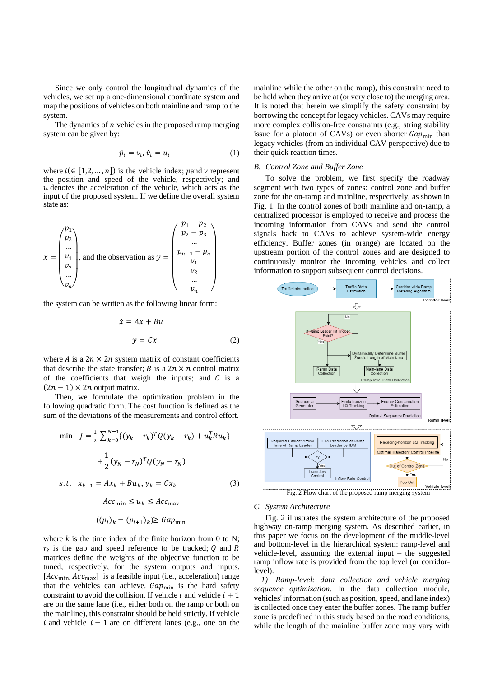Since we only control the longitudinal dynamics of the vehicles, we set up a one-dimensional coordinate system and map the positions of vehicles on both mainline and ramp to the system.

The dynamics of  $n$  vehicles in the proposed ramp merging system can be given by:

$$
\dot{p}_i = v_i, \dot{v}_i = u_i \tag{1}
$$

where  $i \in [1,2,...,n]$  is the vehicle index; pand v represent the position and speed of the vehicle, respectively; and  $u$  denotes the acceleration of the vehicle, which acts as the input of the proposed system. If we define the overall system state as:

$$
x = \begin{pmatrix} p_1 \\ p_2 \\ \dots \\ v_1 \\ v_2 \\ \dots \\ v_n \end{pmatrix}
$$
, and the observation as  $y = \begin{pmatrix} p_1 - p_2 \\ p_2 - p_3 \\ \dots \\ p_{n-1} - p_n \\ v_1 \\ v_2 \\ \dots \\ v_n \end{pmatrix}$ 

the system can be written as the following linear form:

$$
\dot{x} = Ax + Bu
$$

$$
y = Cx \tag{2}
$$

where A is a  $2n \times 2n$  system matrix of constant coefficients that describe the state transfer; B is a  $2n \times n$  control matrix of the coefficients that weigh the inputs; and  $C$  is a  $(2n - 1) \times 2n$  output matrix.

Then, we formulate the optimization problem in the following quadratic form. The cost function is defined as the sum of the deviations of the measurements and control effort.

min 
$$
J = \frac{1}{2} \sum_{k=0}^{N-1} \{ (y_k - r_k)^T Q (y_k - r_k) + u_k^T R u_k \}
$$
  
  $+ \frac{1}{2} (y_N - r_N)^T Q (y_N - r_N)$   
s.t.  $x_{k+1} = Ax_k + Bu_k, y_k = Cx_k$  (3)

 $Acc_{\min} \leq u_k \leq Acc_{\max}$ 

$$
((p_i)_k - (p_{i+1})_k) \geq \text{Gap}_{\min}
$$

where  $k$  is the time index of the finite horizon from 0 to N;  $r_k$  is the gap and speed reference to be tracked; Q and R matrices define the weights of the objective function to be tuned, respectively, for the system outputs and inputs.  $[Acc<sub>min</sub>, Acc<sub>max</sub>]$  is a feasible input (i.e., acceleration) range that the vehicles can achieve.  $Gap_{\text{min}}$  is the hard safety constraint to avoid the collision. If vehicle  $i$  and vehicle  $i + 1$ are on the same lane (i.e., either both on the ramp or both on the mainline), this constraint should be held strictly. If vehicle i and vehicle  $i + 1$  are on different lanes (e.g., one on the

mainline while the other on the ramp), this constraint need to be held when they arrive at (or very close to) the merging area. It is noted that herein we simplify the safety constraint by borrowing the concept for legacy vehicles. CAVs may require more complex collision-free constraints (e.g., string stability issue for a platoon of CAVs) or even shorter  $Gap_{\text{min}}$  than legacy vehicles (from an individual CAV perspective) due to their quick reaction times.

#### *B. Control Zone and Buffer Zone*

To solve the problem, we first specify the roadway segment with two types of zones: control zone and buffer zone for the on-ramp and mainline, respectively, as shown in Fig. 1. In the control zones of both mainline and on-ramp, a centralized processor is employed to receive and process the incoming information from CAVs and send the control signals back to CAVs to achieve system-wide energy efficiency. Buffer zones (in orange) are located on the upstream portion of the control zones and are designed to continuously monitor the incoming vehicles and collect information to support subsequent control decisions.



Fig. 2 Flow chart of the proposed ramp merging system

#### *C. System Architecture*

Fig. 2 illustrates the system architecture of the proposed highway on-ramp merging system. As described earlier, in this paper we focus on the development of the middle-level and bottom-level in the hierarchical system: ramp-level and vehicle-level, assuming the external input – the suggested ramp inflow rate is provided from the top level (or corridorlevel).

*1) Ramp-level: data collection and vehicle merging sequence optimization.* In the data collection module, vehicles' information (such as position, speed, and lane index) is collected once they enter the buffer zones. The ramp buffer zone is predefined in this study based on the road conditions, while the length of the mainline buffer zone may vary with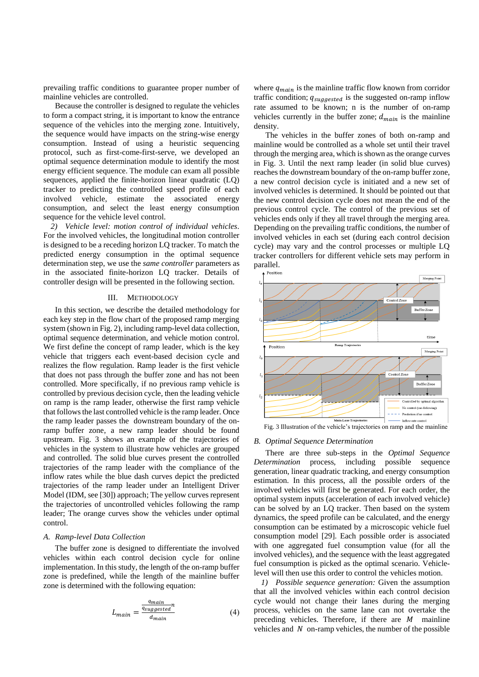prevailing traffic conditions to guarantee proper number of mainline vehicles are controlled.

Because the controller is designed to regulate the vehicles to form a compact string, it is important to know the entrance sequence of the vehicles into the merging zone. Intuitively, the sequence would have impacts on the string-wise energy consumption. Instead of using a heuristic sequencing protocol, such as first-come-first-serve, we developed an optimal sequence determination module to identify the most energy efficient sequence. The module can exam all possible sequences, applied the finite-horizon linear quadratic (LQ) tracker to predicting the controlled speed profile of each involved vehicle, estimate the associated energy consumption, and select the least energy consumption sequence for the vehicle level control.

*2) Vehicle level: motion control of individual vehicles.*  For the involved vehicles, the longitudinal motion controller is designed to be a receding horizon LQ tracker. To match the predicted energy consumption in the optimal sequence determination step, we use the *same controller* parameters as in the associated finite-horizon LQ tracker. Details of controller design will be presented in the following section.

## III. METHODOLOGY

In this section, we describe the detailed methodology for each key step in the flow chart of the proposed ramp merging system (shown in Fig. 2), including ramp-level data collection, optimal sequence determination, and vehicle motion control. We first define the concept of ramp leader, which is the key vehicle that triggers each event-based decision cycle and realizes the flow regulation. Ramp leader is the first vehicle that does not pass through the buffer zone and has not been controlled. More specifically, if no previous ramp vehicle is controlled by previous decision cycle, then the leading vehicle on ramp is the ramp leader, otherwise the first ramp vehicle that follows the last controlled vehicle is the ramp leader. Once the ramp leader passes the downstream boundary of the onramp buffer zone, a new ramp leader should be found upstream. Fig. 3 shows an example of the trajectories of vehicles in the system to illustrate how vehicles are grouped and controlled. The solid blue curves present the controlled trajectories of the ramp leader with the compliance of the inflow rates while the blue dash curves depict the predicted trajectories of the ramp leader under an Intelligent Driver Model (IDM, see [30]) approach; The yellow curves represent the trajectories of uncontrolled vehicles following the ramp leader; The orange curves show the vehicles under optimal control.

#### *A. Ramp-level Data Collection*

The buffer zone is designed to differentiate the involved vehicles within each control decision cycle for online implementation. In this study, the length of the on-ramp buffer zone is predefined, while the length of the mainline buffer zone is determined with the following equation:

$$
L_{main} = \frac{\frac{q_{main}}{q_{suggested}}}{d_{main}}\tag{4}
$$

where  $q_{main}$  is the mainline traffic flow known from corridor traffic condition;  $q_{suggested}$  is the suggested on-ramp inflow rate assumed to be known; n is the number of on-ramp vehicles currently in the buffer zone;  $d_{\text{main}}$  is the mainline density.

The vehicles in the buffer zones of both on-ramp and mainline would be controlled as a whole set until their travel through the merging area, which is shown as the orange curves in Fig. 3. Until the next ramp leader (in solid blue curves) reaches the downstream boundary of the on-ramp buffer zone, a new control decision cycle is initiated and a new set of involved vehicles is determined. It should be pointed out that the new control decision cycle does not mean the end of the previous control cycle. The control of the previous set of vehicles ends only if they all travel through the merging area. Depending on the prevailing traffic conditions, the number of involved vehicles in each set (during each control decision cycle) may vary and the control processes or multiple LQ tracker controllers for different vehicle sets may perform in parallel.



Fig. 3 Illustration of the vehicle's trajectories on ramp and the mainline

#### *B. Optimal Sequence Determination*

There are three sub-steps in the *Optimal Sequence Determination* process, including possible sequence generation, linear quadratic tracking, and energy consumption estimation. In this process, all the possible orders of the involved vehicles will first be generated. For each order, the optimal system inputs (acceleration of each involved vehicle) can be solved by an LQ tracker. Then based on the system dynamics, the speed profile can be calculated, and the energy consumption can be estimated by a microscopic vehicle fuel consumption model [29]. Each possible order is associated with one aggregated fuel consumption value (for all the involved vehicles), and the sequence with the least aggregated fuel consumption is picked as the optimal scenario. Vehiclelevel will then use this order to control the vehicles motion.

*1) Possible sequence generation:* Given the assumption that all the involved vehicles within each control decision cycle would not change their lanes during the merging process, vehicles on the same lane can not overtake the preceding vehicles. Therefore, if there are  $M$  mainline vehicles and  $N$  on-ramp vehicles, the number of the possible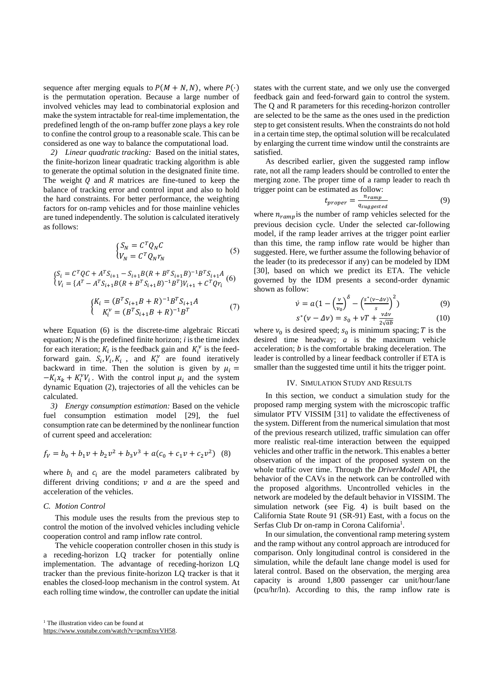sequence after merging equals to  $P(M + N, N)$ , where  $P(\cdot)$ is the permutation operation. Because a large number of involved vehicles may lead to combinatorial explosion and make the system intractable for real-time implementation, the predefined length of the on-ramp buffer zone plays a key role to confine the control group to a reasonable scale. This can be considered as one way to balance the computational load.

*2) Linear quadratic tracking:* Based on the initial states, the finite-horizon linear quadratic tracking algorithm is able to generate the optimal solution in the designated finite time. The weight  $Q$  and  $R$  matrices are fine-tuned to keep the balance of tracking error and control input and also to hold the hard constraints. For better performance, the weighting factors for on-ramp vehicles and for those mainline vehicles are tuned independently. The solution is calculated iteratively as follows:

$$
\begin{cases}\nS_N = C^T Q_N C \\
V_N = C^T Q_N r_N\n\end{cases}
$$
\n(5)

$$
\begin{cases} S_i = C^T Q C + A^T S_{i+1} - S_{i+1} B (R + B^T S_{i+1} B)^{-1} B^T S_{i+1} A \\ V_i = \{ A^T - A^T S_{i+1} B (R + B^T S_{i+1} B)^{-1} B^T \} V_{i+1} + C^T Q r_i \end{cases} (6)
$$

$$
\begin{cases} K_i = (B^T S_{i+1} B + R)^{-1} B^T S_{i+1} A \\ K_i^{\nu} = (B^T S_{i+1} B + R)^{-1} B^T \end{cases} \tag{7}
$$

where Equation (6) is the discrete-time algebraic Riccati equation; *N* is the predefined finite horizon; *i* is the time index for each iteration;  $K_i$  is the feedback gain and  $K_i^{\nu}$  is the feedforward gain.  $S_i$ ,  $V_i$ ,  $K_i$ , and  $K_i^{\nu}$  are found iteratively backward in time. Then the solution is given by  $\mu_i =$  $-K_i x_k + K_i^{\nu} V_i$ . With the control input  $\mu_i$  and the system dynamic Equation (2), trajectories of all the vehicles can be calculated.

*3) Energy consumption estimation:* Based on the vehicle fuel consumption estimation model [29], the fuel consumption rate can be determined by the nonlinear function of current speed and acceleration:

$$
f_V = b_0 + b_1 v + b_2 v^2 + b_3 v^3 + a(c_0 + c_1 v + c_2 v^2)
$$
 (8)

where  $b_i$  and  $c_i$  are the model parameters calibrated by different driving conditions;  $\nu$  and  $\alpha$  are the speed and acceleration of the vehicles.

# *C. Motion Control*

This module uses the results from the previous step to control the motion of the involved vehicles including vehicle cooperation control and ramp inflow rate control.

The vehicle cooperation controller chosen in this study is a receding-horizon LQ tracker for potentially online implementation. The advantage of receding-horizon LQ tracker than the previous finite-horizon LQ tracker is that it enables the closed-loop mechanism in the control system. At each rolling time window, the controller can update the initial states with the current state, and we only use the converged feedback gain and feed-forward gain to control the system. The Q and R parameters for this receding-horizon controller are selected to be the same as the ones used in the prediction step to get consistent results. When the constraints do not hold in a certain time step, the optimal solution will be recalculated by enlarging the current time window until the constraints are satisfied.

As described earlier, given the suggested ramp inflow rate, not all the ramp leaders should be controlled to enter the merging zone. The proper time of a ramp leader to reach th trigger point can be estimated as follow:

$$
t_{proper} = \frac{n_{ramp}}{q_{suggested}} \tag{9}
$$

where  $n_{ramp}$  is the number of ramp vehicles selected for the previous decision cycle. Under the selected car-following model, if the ramp leader arrives at the trigger point earlier than this time, the ramp inflow rate would be higher than suggested. Here, we further assume the following behavior of the leader (to its predecessor if any) can be modeled by IDM [30], based on which we predict its ETA. The vehicle governed by the IDM presents a second-order dynamic shown as follow:

$$
\dot{\nu} = a \left( 1 - \left( \frac{\nu}{\nu_0} \right)^{\delta} - \left( \frac{s^*(\nu - \Delta \nu)}{s} \right)^2 \right) \tag{9}
$$

$$
s^*(\nu - \Delta \nu) = s_0 + \nu T + \frac{\nu \Delta \nu}{2\sqrt{ab}} \tag{10}
$$

where  $v_0$  is desired speed;  $s_0$  is minimum spacing; T is the desired time headway; *a* is the maximum vehicle acceleration; *b* is the comfortable braking deceleration. The leader is controlled by a linear feedback controller if ETA is smaller than the suggested time until it hits the trigger point.

#### IV. SIMULATION STUDY AND RESULTS

In this section, we conduct a simulation study for the proposed ramp merging system with the microscopic traffic simulator PTV VISSIM [31] to validate the effectiveness of the system. Different from the numerical simulation that most of the previous research utilized, traffic simulation can offer more realistic real-time interaction between the equipped vehicles and other traffic in the network. This enables a better observation of the impact of the proposed system on the whole traffic over time. Through the *DriverModel* API, the behavior of the CAVs in the network can be controlled with the proposed algorithms. Uncontrolled vehicles in the network are modeled by the default behavior in VISSIM. The simulation network (see Fig. 4) is built based on the California State Route 91 (SR-91) East, with a focus on the Serfas Club Dr on-ramp in Corona California<sup>1</sup>.

In our simulation, the conventional ramp metering system and the ramp without any control approach are introduced for comparison. Only longitudinal control is considered in the simulation, while the default lane change model is used for lateral control. Based on the observation, the merging area capacity is around 1,800 passenger car unit/hour/lane (pcu/hr/ln). According to this, the ramp inflow rate is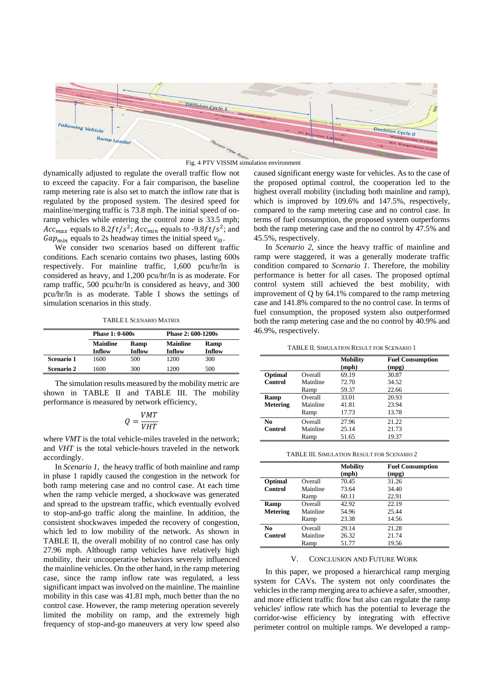



dynamically adjusted to regulate the overall traffic flow not to exceed the capacity. For a fair comparison, the baseline ramp metering rate is also set to match the inflow rate that is regulated by the proposed system. The desired speed for mainline/merging traffic is 73.8 mph. The initial speed of onramp vehicles while entering the control zone is 33.5 mph; *Acc<sub>max</sub>* equals to 8.2*ft*/ $s^2$ ; *Acc<sub>min</sub>* equals to -9.8*ft*/ $s^2$ ; and  $Gap_{min}$  equals to 2s headway times the initial speed  $v_{i0}$ .

We consider two scenarios based on different traffic conditions*.* Each scenario contains two phases, lasting 600s respectively. For mainline traffic, 1,600 pcu/hr/ln is considered as heavy, and 1,200 pcu/hr/ln is as moderate. For ramp traffic, 500 pcu/hr/ln is considered as heavy, and 300 pcu/hr/ln is as moderate. Table I shows the settings of simulation scenarios in this study.

TABLE I. SCENARIO MATRIX

|                   | <b>Phase 1: 0-600s</b>    |                | Phase 2: 600-1200s        |                |  |
|-------------------|---------------------------|----------------|---------------------------|----------------|--|
|                   | <b>Mainline</b><br>Inflow | Ramp<br>Inflow | <b>Mainline</b><br>Inflow | Ramp<br>Inflow |  |
| Scenario 1        | 1600                      | 500            | 1200                      | 300            |  |
| <b>Scenario 2</b> | 1600                      | 300            | 1200                      | 500            |  |

The simulation results measured by the mobility metric are shown in TABLE II and TABLE III. The mobility performance is measured by network efficiency,

$$
Q = \frac{VMT}{VHT}
$$

where *VMT* is the total vehicle-miles traveled in the network; and *VHT* is the total vehicle-hours traveled in the network accordingly.

In *Scenario 1*, the heavy traffic of both mainline and ramp in phase 1 rapidly caused the congestion in the network for both ramp metering case and no control case. At each time when the ramp vehicle merged, a shockwave was generated and spread to the upstream traffic, which eventually evolved to stop-and-go traffic along the mainline. In addition, the consistent shockwaves impeded the recovery of congestion, which led to low mobility of the network. As shown in TABLE II, the overall mobility of no control case has only 27.96 mph. Although ramp vehicles have relatively high mobility, their uncooperative behaviors severely influenced the mainline vehicles. On the other hand, in the ramp metering case, since the ramp inflow rate was regulated, a less significant impact was involved on the mainline. The mainline mobility in this case was 41.81 mph, much better than the no control case. However, the ramp metering operation severely limited the mobility on ramp, and the extremely high frequency of stop-and-go maneuvers at very low speed also

caused significant energy waste for vehicles. As to the case of the proposed optimal control, the cooperation led to the highest overall mobility (including both mainline and ramp), which is improved by 109.6% and 147.5%, respectively, compared to the ramp metering case and no control case. In terms of fuel consumption, the proposed system outperforms both the ramp metering case and the no control by 47.5% and 45.5%, respectively.

In *Scenario 2*, since the heavy traffic of mainline and ramp were staggered, it was a generally moderate traffic condition compared to *Scenario 1*. Therefore, the mobility performance is better for all cases. The proposed optimal control system still achieved the best mobility, with improvement of Q by 64.1% compared to the ramp metering case and 141.8% compared to the no control case. In terms of fuel consumption, the proposed system also outperformed both the ramp metering case and the no control by 40.9% and 46.9%, respectively.

|  | <b>TABLE II. SIMULATION RESULT FOR SCENARIO 1</b> |  |  |
|--|---------------------------------------------------|--|--|
|--|---------------------------------------------------|--|--|

|          |          | <b>Mobility</b><br>(mph) | <b>Fuel Consumption</b><br>(mpg) |
|----------|----------|--------------------------|----------------------------------|
| Optimal  | Overall  | 69.19                    | 30.87                            |
| Control  | Mainline | 72.70                    | 34.52                            |
|          | Ramp     | 59.37                    | 22.66                            |
| Ramp     | Overall  | 33.01                    | 20.93                            |
| Metering | Mainline | 41.81                    | 23.94                            |
|          | Ramp     | 17.73                    | 13.78                            |
| No       | Overall  | 27.96                    | 21.22                            |
| Control  | Mainline | 25.14                    | 21.73                            |
|          | Ramp     | 51.65                    | 19.37                            |

|          |          | <b>Mobility</b><br>(mph) | <b>Fuel Consumption</b><br>(mpg) |
|----------|----------|--------------------------|----------------------------------|
| Optimal  | Overall  | 70.45                    | 31.26                            |
| Control  | Mainline | 73.64                    | 34.40                            |
|          | Ramp     | 60.11                    | 22.91                            |
| Ramp     | Overall  | 42.92                    | 22.19                            |
| Metering | Mainline | 54.96                    | 25.44                            |
|          | Ramp     | 23.38                    | 14.56                            |
| No.      | Overall  | 29.14                    | 21.28                            |
| Control  | Mainline | 26.32                    | 21.74                            |
|          | Ramp     | 51.77                    | 19.56                            |

#### V. CONCLUSION AND FUTURE WORK

In this paper, we proposed a hierarchical ramp merging system for CAVs. The system not only coordinates the vehicles in the ramp merging area to achieve a safer, smoother, and more efficient traffic flow but also can regulate the ramp vehicles' inflow rate which has the potential to leverage the corridor-wise efficiency by integrating with effective perimeter control on multiple ramps. We developed a ramp